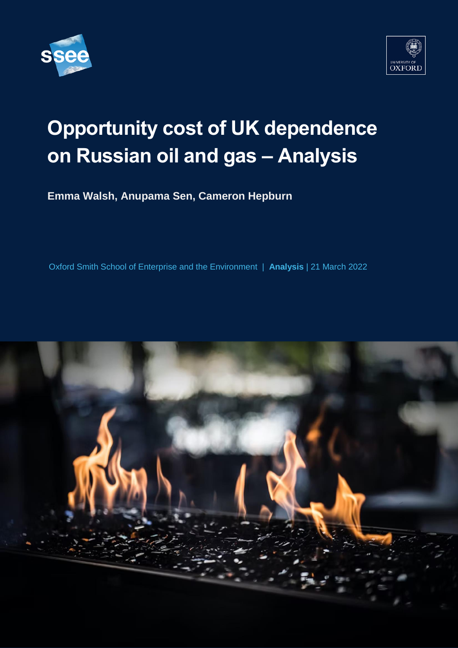



# **Opportunity cost of UK dependence on Russian oil and gas – Analysis**

**Emma Walsh, Anupama Sen, Cameron Hepburn**

**Pr** Oxford Smith School of Enterprise and the Environment | **Analysis** | 21 March 2022

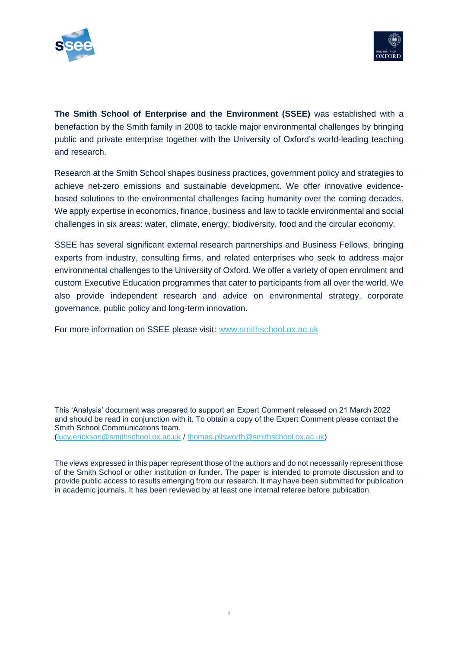



**The Smith School of Enterprise and the Environment (SSEE)** was established with a benefaction by the Smith family in 2008 to tackle major environmental challenges by bringing public and private enterprise together with the University of Oxford's world-leading teaching and research.

Research at the Smith School shapes business practices, government policy and strategies to achieve net-zero emissions and sustainable development. We offer innovative evidencebased solutions to the environmental challenges facing humanity over the coming decades. We apply expertise in economics, finance, business and law to tackle environmental and social challenges in six areas: water, climate, energy, biodiversity, food and the circular economy.

SSEE has several significant external research partnerships and Business Fellows, bringing experts from industry, consulting firms, and related enterprises who seek to address major environmental challenges to the University of Oxford. We offer a variety of open enrolment and custom Executive Education programmes that cater to participants from all over the world. We also provide independent research and advice on environmental strategy, corporate governance, public policy and long-term innovation.

For more information on SSEE please visit: [www.smithschool.ox.ac.uk](http://www.smithschool.ox.ac.uk/)

This 'Analysis' document was prepared to support an Expert Comment released on 21 March 2022 and should be read in conjunction with it. To obtain a copy of the Expert Comment please contact the Smith School Communications team. [\(lucy.erickson@smithschool.ox.ac.uk](mailto:lucy.erickson@smithschool.ox.ac.uk) / [thomas.pilsworth@smithschool.ox.ac.uk\)](mailto:thomas.pilsworth@smithschool.ox.ac.uk)

The views expressed in this paper represent those of the authors and do not necessarily represent those of the Smith School or other institution or funder. The paper is intended to promote discussion and to provide public access to results emerging from our research. It may have been submitted for publication in academic journals. It has been reviewed by at least one internal referee before publication.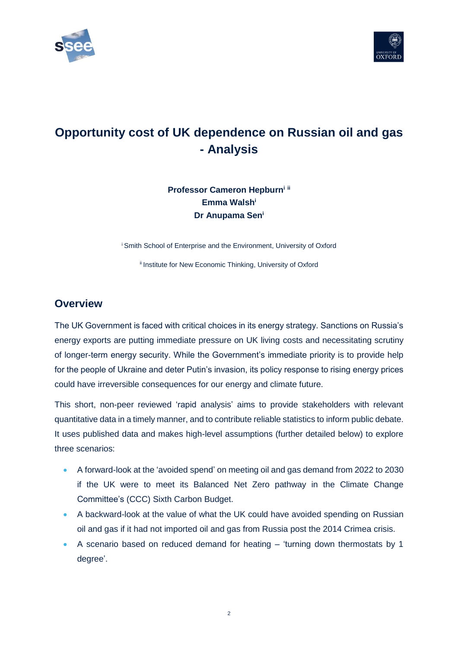



# **Opportunity cost of UK dependence on Russian oil and gas - Analysis**

## **Professor Cameron Hepburn<sup>i</sup> ii Emma Walsh<sup>i</sup> Dr Anupama Sen<sup>i</sup>**

<sup>i</sup> Smith School of Enterprise and the Environment, University of Oxford

<sup>ii</sup> Institute for New Economic Thinking, University of Oxford

### **Overview**

The UK Government is faced with critical choices in its energy strategy. Sanctions on Russia's energy exports are putting immediate pressure on UK living costs and necessitating scrutiny of longer-term energy security. While the Government's immediate priority is to provide help for the people of Ukraine and deter Putin's invasion, its policy response to rising energy prices could have irreversible consequences for our energy and climate future.

This short, non-peer reviewed 'rapid analysis' aims to provide stakeholders with relevant quantitative data in a timely manner, and to contribute reliable statistics to inform public debate. It uses published data and makes high-level assumptions (further detailed below) to explore three scenarios:

- A forward-look at the 'avoided spend' on meeting oil and gas demand from 2022 to 2030 if the UK were to meet its Balanced Net Zero pathway in the Climate Change Committee's (CCC) Sixth Carbon Budget.
- A backward-look at the value of what the UK could have avoided spending on Russian oil and gas if it had not imported oil and gas from Russia post the 2014 Crimea crisis.
- A scenario based on reduced demand for heating 'turning down thermostats by 1 degree'.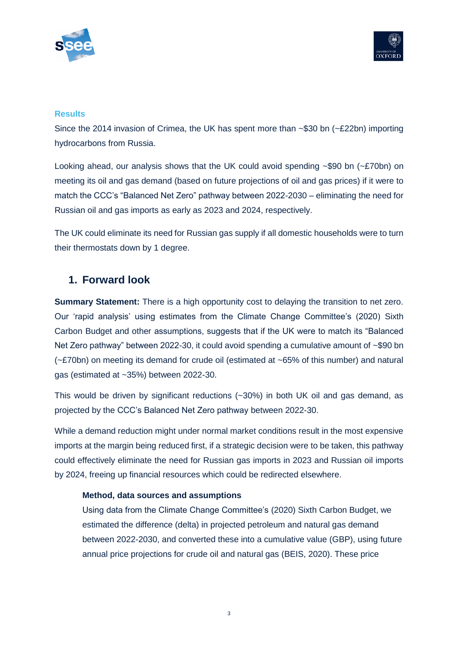



#### **Results**

Since the 2014 invasion of Crimea, the UK has spent more than ~\$30 bn (~£22bn) importing hydrocarbons from Russia.

Looking ahead, our analysis shows that the UK could avoid spending  $\sim$ \$90 bn ( $\sim$ £70bn) on meeting its oil and gas demand (based on future projections of oil and gas prices) if it were to match the CCC's "Balanced Net Zero" pathway between 2022-2030 – eliminating the need for Russian oil and gas imports as early as 2023 and 2024, respectively.

The UK could eliminate its need for Russian gas supply if all domestic households were to turn their thermostats down by 1 degree.

## **1. Forward look**

**Summary Statement:** There is a high opportunity cost to delaying the transition to net zero. Our 'rapid analysis' using estimates from the Climate Change Committee's (2020) Sixth Carbon Budget and other assumptions, suggests that if the UK were to match its "Balanced Net Zero pathway" between 2022-30, it could avoid spending a cumulative amount of ~\$90 bn (~£70bn) on meeting its demand for crude oil (estimated at ~65% of this number) and natural gas (estimated at ~35%) between 2022-30.

This would be driven by significant reductions (~30%) in both UK oil and gas demand, as projected by the CCC's Balanced Net Zero pathway between 2022-30.

While a demand reduction might under normal market conditions result in the most expensive imports at the margin being reduced first, if a strategic decision were to be taken, this pathway could effectively eliminate the need for Russian gas imports in 2023 and Russian oil imports by 2024, freeing up financial resources which could be redirected elsewhere.

#### **Method, data sources and assumptions**

Using data from the Climate Change Committee's (2020) Sixth Carbon Budget, we estimated the difference (delta) in projected petroleum and natural gas demand between 2022-2030, and converted these into a cumulative value (GBP), using future annual price projections for crude oil and natural gas (BEIS, 2020). These price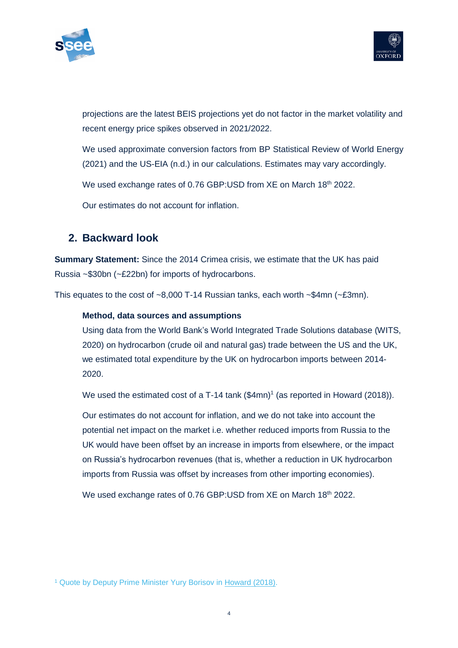



projections are the latest BEIS projections yet do not factor in the market volatility and recent energy price spikes observed in 2021/2022.

We used approximate conversion factors from BP Statistical Review of World Energy (2021) and the US-EIA (n.d.) in our calculations. Estimates may vary accordingly.

We used exchange rates of 0.76 GBP:USD from XE on March 18th 2022.

Our estimates do not account for inflation.

## **2. Backward look**

**Summary Statement:** Since the 2014 Crimea crisis, we estimate that the UK has paid Russia ~\$30bn (~£22bn) for imports of hydrocarbons.

This equates to the cost of ~8,000 T-14 Russian tanks, each worth ~\$4mn (~£3mn).

#### **Method, data sources and assumptions**

Using data from the World Bank's World Integrated Trade Solutions database (WITS, 2020) on hydrocarbon (crude oil and natural gas) trade between the US and the UK, we estimated total expenditure by the UK on hydrocarbon imports between 2014- 2020.

We used the estimated cost of a T-14 tank  $(\$4mn)^1$  (as reported in Howard (2018)).

Our estimates do not account for inflation, and we do not take into account the potential net impact on the market i.e. whether reduced imports from Russia to the UK would have been offset by an increase in imports from elsewhere, or the impact on Russia's hydrocarbon revenues (that is, whether a reduction in UK hydrocarbon imports from Russia was offset by increases from other importing economies).

We used exchange rates of 0.76 GBP:USD from XE on March 18<sup>th</sup> 2022.

<sup>1</sup> Quote by Deputy Prime Minister Yury Borisov in [Howard \(2018\).](https://www.businessinsider.com/russias-t-14-tank-made-to-beat-the-west-is-too-expensive-for-russia-2018-7?r=US&IR=T)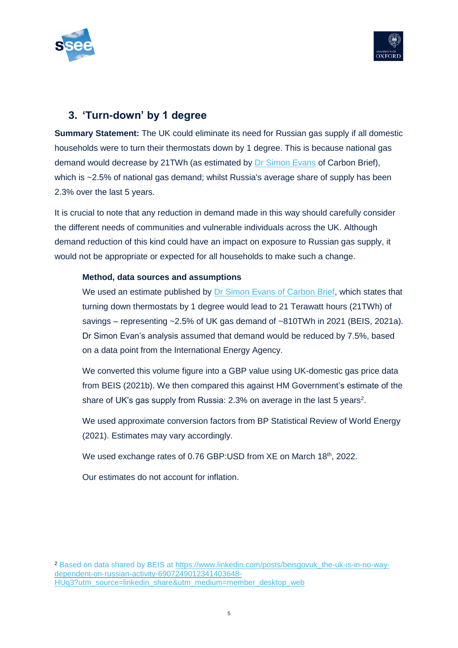



# **3. 'Turn-down' by 1 degree**

**Summary Statement:** The UK could eliminate its need for Russian gas supply if all domestic households were to turn their thermostats down by 1 degree. This is because national gas demand would decrease by 21TWh (as estimated by **Dr Simon Evans** of Carbon Brief), which is ~2.5% of national gas demand; whilst Russia's average share of supply has been 2.3% over the last 5 years.

It is crucial to note that any reduction in demand made in this way should carefully consider the different needs of communities and vulnerable individuals across the UK. Although demand reduction of this kind could have an impact on exposure to Russian gas supply, it would not be appropriate or expected for all households to make such a change.

#### **Method, data sources and assumptions**

We used an estimate published by Dr [Simon Evans of Carbon Brief,](https://twitter.com/DrSimEvans/status/1500856630749114374) which states that turning down thermostats by 1 degree would lead to 21 Terawatt hours (21TWh) of savings – representing ~2.5% of UK gas demand of ~810TWh in 2021 (BEIS, 2021a). Dr Simon Evan's analysis assumed that demand would be reduced by 7.5%, based on a data point from the International Energy Agency.

We converted this volume figure into a GBP value using UK-domestic gas price data from BEIS (2021b). We then compared this against HM Government's estimate of the share of UK's gas supply from Russia: 2.3% on average in the last 5 years<sup>2</sup>.

We used approximate conversion factors from BP Statistical Review of World Energy (2021). Estimates may vary accordingly.

We used exchange rates of 0.76 GBP:USD from XE on March 18th, 2022.

Our estimates do not account for inflation.

<sup>2</sup> Based on data shared by BEIS at [https://www.linkedin.com/posts/beisgovuk\\_the-uk-is-in-no-way](https://www.linkedin.com/posts/beisgovuk_the-uk-is-in-no-way-dependent-on-russian-activity-6907249012341403648-HUq3?utm_source=linkedin_share&utm_medium=member_desktop_web)[dependent-on-russian-activity-6907249012341403648-](https://www.linkedin.com/posts/beisgovuk_the-uk-is-in-no-way-dependent-on-russian-activity-6907249012341403648-HUq3?utm_source=linkedin_share&utm_medium=member_desktop_web) [HUq3?utm\\_source=linkedin\\_share&utm\\_medium=member\\_desktop\\_web](https://www.linkedin.com/posts/beisgovuk_the-uk-is-in-no-way-dependent-on-russian-activity-6907249012341403648-HUq3?utm_source=linkedin_share&utm_medium=member_desktop_web)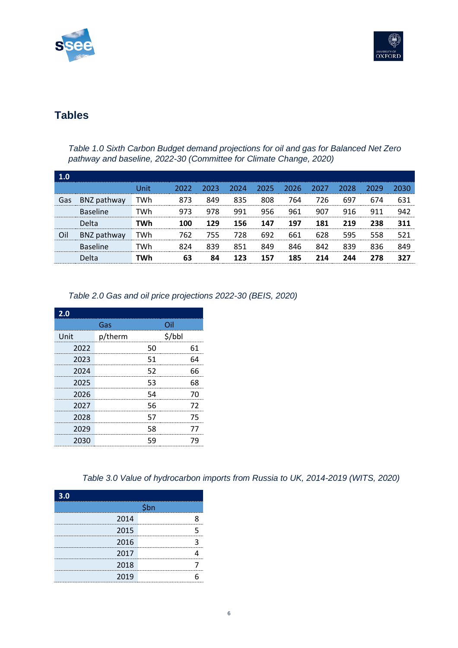



# **Tables**

*Table 1.0 Sixth Carbon Budget demand projections for oil and gas for Balanced Net Zero pathway and baseline, 2022-30 (Committee for Climate Change, 2020)*

| 1.0 |                 |      |      |      |      |      |      |      |      |      |      |
|-----|-----------------|------|------|------|------|------|------|------|------|------|------|
|     |                 | Unit | 2022 | 2023 | 2024 | 2025 | 2026 | 2027 | 2028 | 2029 | 2030 |
| Gas | BNZ pathway     | TWh  | 873  | 849  | 835  | 808  | 764  | 726  | 697  | 674  | 631  |
|     | <b>Baseline</b> | TWh  | 973  | 978  | 991  | 956  | 961  | 907  | 916  | 911  | 942  |
|     | Delta           | TWh  | 100  | 129  | 156  | 147  | 197  | 181  | 219  | 238  | 311  |
| Oil | BNZ pathway     | TWh  | 762  | 755  | 728  | 692  | 661  | 628  | 595  | 558  | 521  |
|     | <b>Baseline</b> | TWh  | 824  | 839  | 851  | 849  | 846  | 842  | 839  | 836  | 849  |
|     | Delta           | TWh  | 63   | 84   | 123  | 157  | 185  | 214  | 244  | 278  | 327  |

#### *Table 2.0 Gas and oil price projections 2022-30 (BEIS, 2020)*

| 2.0  |         |     |        |
|------|---------|-----|--------|
|      | Gas     | Oil |        |
| Unit | p/therm |     | \$/bbl |
| 2022 |         | 50  | 61     |
| 2023 |         | 51  | 64     |
| 2024 |         | 52  | 66     |
| 2025 |         | 53  | 68     |
| 2026 |         | 54  | 70     |
| 2027 |         | 56  | 72     |
| 2028 |         | 57  | 75     |
| 2029 |         | 58  | 77     |
| 2030 |         | 59  | 79     |

#### *Table 3.0 Value of hydrocarbon imports from Russia to UK, 2014-2019 (WITS, 2020)*

| 3.0                                    |      |
|----------------------------------------|------|
|                                        | \$bn |
| 2014                                   |      |
| 2015<br>------------------------------ |      |
| 2016                                   |      |
| 2017                                   |      |
| 2018                                   |      |
| 2019                                   |      |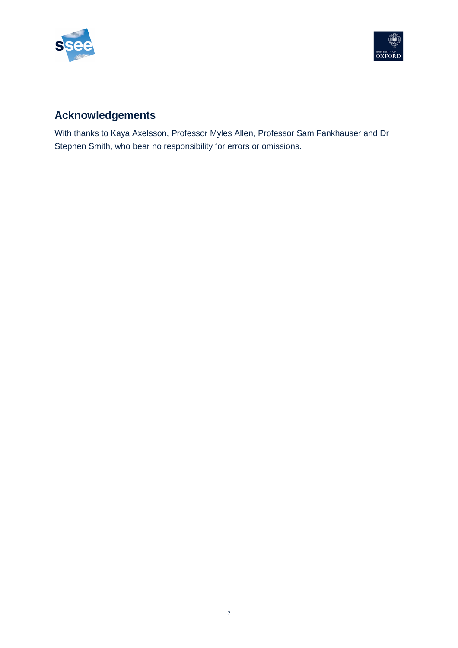



# **Acknowledgements**

With thanks to Kaya Axelsson, Professor Myles Allen, Professor Sam Fankhauser and Dr Stephen Smith, who bear no responsibility for errors or omissions.